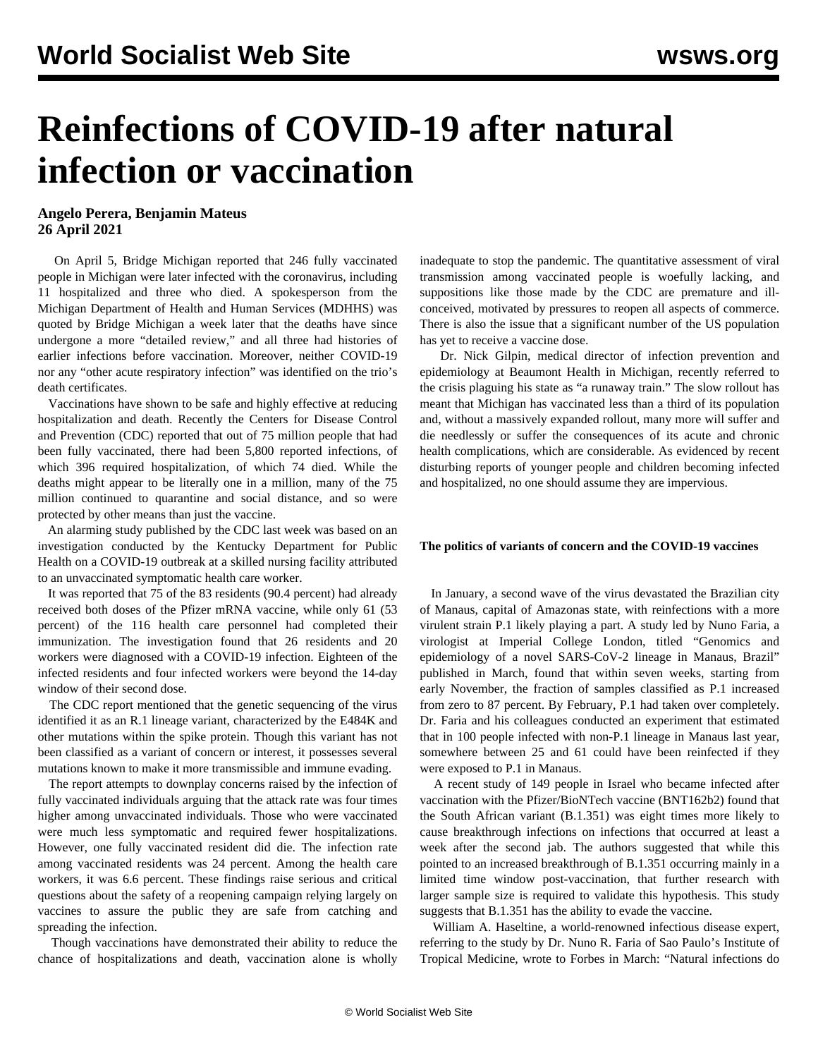## **Reinfections of COVID-19 after natural infection or vaccination**

## **Angelo Perera, Benjamin Mateus 26 April 2021**

 On April 5, Bridge Michigan reported that 246 fully vaccinated people in Michigan were later infected with the coronavirus, including 11 hospitalized and three who died. A spokesperson from the Michigan Department of Health and Human Services (MDHHS) was quoted by Bridge Michigan a week later that the deaths have since undergone a more "detailed review," and all three had histories of earlier infections before vaccination. Moreover, neither COVID-19 nor any "other acute respiratory infection" was identified on the trio's death certificates.

 Vaccinations have shown to be safe and highly effective at reducing hospitalization and death. Recently the Centers for Disease Control and Prevention (CDC) reported that out of 75 million people that had been fully vaccinated, there had been 5,800 reported infections, of which 396 required hospitalization, of which 74 died. While the deaths might appear to be literally one in a million, many of the 75 million continued to quarantine and social distance, and so were protected by other means than just the vaccine.

 An alarming study published by the CDC last week was based on an investigation conducted by the Kentucky Department for Public Health on a COVID-19 outbreak at a skilled nursing facility attributed to an unvaccinated symptomatic health care worker.

 It was reported that 75 of the 83 residents (90.4 percent) had already received both doses of the Pfizer mRNA vaccine, while only 61 (53 percent) of the 116 health care personnel had completed their immunization. The investigation found that 26 residents and 20 workers were diagnosed with a COVID-19 infection. Eighteen of the infected residents and four infected workers were beyond the 14-day window of their second dose.

 The CDC report mentioned that the genetic sequencing of the virus identified it as an R.1 lineage variant, characterized by the E484K and other mutations within the spike protein. Though this variant has not been classified as a variant of concern or interest, it possesses several mutations known to make it more transmissible and immune evading.

 The report attempts to downplay concerns raised by the infection of fully vaccinated individuals arguing that the attack rate was four times higher among unvaccinated individuals. Those who were vaccinated were much less symptomatic and required fewer hospitalizations. However, one fully vaccinated resident did die. The infection rate among vaccinated residents was 24 percent. Among the health care workers, it was 6.6 percent. These findings raise serious and critical questions about the safety of a reopening campaign relying largely on vaccines to assure the public they are safe from catching and spreading the infection.

 Though vaccinations have demonstrated their ability to reduce the chance of hospitalizations and death, vaccination alone is wholly inadequate to stop the pandemic. The quantitative assessment of viral transmission among vaccinated people is woefully lacking, and suppositions like those made by the CDC are premature and illconceived, motivated by pressures to reopen all aspects of commerce. There is also the issue that a significant number of the US population has yet to receive a vaccine dose.

 Dr. Nick Gilpin, medical director of infection prevention and epidemiology at Beaumont Health in Michigan, recently referred to the crisis plaguing his state as "a runaway train." The slow rollout has meant that Michigan has vaccinated less than a third of its population and, without a massively expanded rollout, many more will suffer and die needlessly or suffer the consequences of its acute and chronic health complications, which are considerable. As evidenced by recent disturbing reports of younger people and children becoming infected and hospitalized, no one should assume they are impervious.

## **The politics of variants of concern and the COVID-19 vaccines**

 In January, a second wave of the virus devastated the Brazilian city of Manaus, capital of Amazonas state, with reinfections with a more virulent strain P.1 likely playing a part. A [study](https://www.medrxiv.org/content/10.1101/2021.02.26.21252554v1.full#T1) led by Nuno Faria, a virologist at Imperial College London, titled "Genomics and epidemiology of a novel SARS-CoV-2 lineage in Manaus, Brazil" published in March, found that within seven weeks, starting from early November, the fraction of samples classified as P.1 increased from zero to 87 percent. By February, P.1 had taken over completely. Dr. Faria and his colleagues conducted an experiment that estimated that in 100 people infected with non-P.1 lineage in Manaus last year, somewhere between 25 and 61 could have been reinfected if they were exposed to P.1 in Manaus.

 A recent [study](https://www.medrxiv.org/content/10.1101/2021.04.06.21254882v1) of 149 people in Israel who became infected after vaccination with the Pfizer/BioNTech vaccine (BNT162b2) found that the South African variant (B.1.351) was eight times more likely to cause breakthrough infections on infections that occurred at least a week after the second jab. The authors suggested that while this pointed to an increased breakthrough of B.1.351 occurring mainly in a limited time window post-vaccination, that further research with larger sample size is required to validate this hypothesis. This study suggests that B.1.351 has the ability to evade the vaccine.

 William A. Haseltine, a world-renowned infectious disease expert, referring to the study by Dr. Nuno R. Faria of Sao Paulo's Institute of Tropical Medicine, wrote to [Forbes](https://www.forbes.com/sites/williamhaseltine/2021/03/10/covid-19-reinfections-are-real-and-serious-all-the-more-reason-to-be-vaccinated/?sh=7888a98d12e2) in March: "Natural infections do